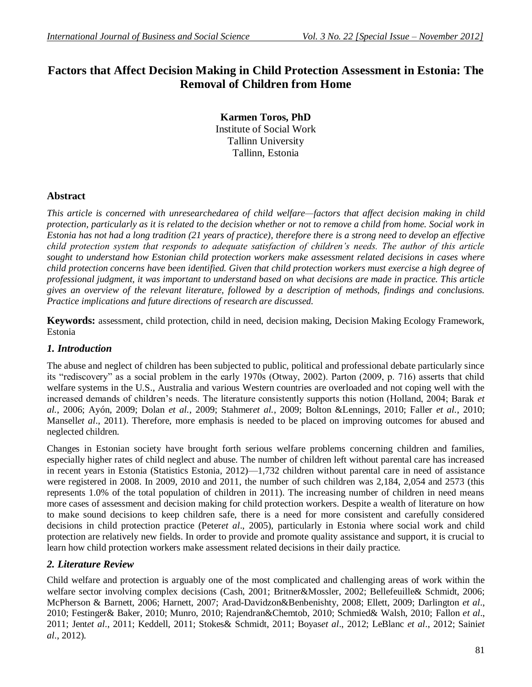# **Factors that Affect Decision Making in Child Protection Assessment in Estonia: The Removal of Children from Home**

**Karmen Toros, PhD** Institute of Social Work Tallinn University Tallinn, Estonia

# **Abstract**

*This article is concerned with unresearchedarea of child welfare—factors that affect decision making in child protection, particularly as it is related to the decision whether or not to remove a child from home. Social work in Estonia has not had a long tradition (21 years of practice), therefore there is a strong need to develop an effective child protection system that responds to adequate satisfaction of children's needs. The author of this article sought to understand how Estonian child protection workers make assessment related decisions in cases where child protection concerns have been identified. Given that child protection workers must exercise a high degree of professional judgment, it was important to understand based on what decisions are made in practice. This article gives an overview of the relevant literature, followed by a description of methods, findings and conclusions. Practice implications and future directions of research are discussed.*

**Keywords:** assessment, child protection, child in need, decision making, Decision Making Ecology Framework, Estonia

# *1. Introduction*

The abuse and neglect of children has been subjected to public, political and professional debate particularly since its "rediscovery" as a social problem in the early 1970s (Otway, 2002). Parton (2009, p. 716) asserts that child welfare systems in the U.S., Australia and various Western countries are overloaded and not coping well with the increased demands of children's needs. The literature consistently supports this notion (Holland, 2004; Barak *et al.*, 2006; Ayón, 2009; Dolan *et al.*, 2009; Stahmer*et al.*, 2009; Bolton &Lennings, 2010; Faller *et al.*, 2010; Mansell*et al*., 2011). Therefore, more emphasis is needed to be placed on improving outcomes for abused and neglected children.

Changes in Estonian society have brought forth serious welfare problems concerning children and families, especially higher rates of child neglect and abuse. The number of children left without parental care has increased in recent years in Estonia (Statistics Estonia, 2012)—1,732 children without parental care in need of assistance were registered in 2008. In 2009, 2010 and 2011, the number of such children was 2,184, 2,054 and 2573 (this represents 1.0% of the total population of children in 2011). The increasing number of children in need means more cases of assessment and decision making for child protection workers. Despite a wealth of literature on how to make sound decisions to keep children safe, there is a need for more consistent and carefully considered decisions in child protection practice (Peter*et al*., 2005), particularly in Estonia where social work and child protection are relatively new fields. In order to provide and promote quality assistance and support, it is crucial to learn how child protection workers make assessment related decisions in their daily practice.

# *2. Literature Review*

Child welfare and protection is arguably one of the most complicated and challenging areas of work within the welfare sector involving complex decisions (Cash, 2001; Britner&Mossler, 2002; Bellefeuille& Schmidt, 2006; McPherson & Barnett, 2006; Harnett, 2007; Arad-Davidzon&Benbenishty, 2008; Ellett, 2009; Darlington *et al*., 2010; Festinger& Baker, 2010; Munro, 2010; Rajendran&Chemtob, 2010; Schmied& Walsh, 2010; Fallon *et al*., 2011; Jent*et al*., 2011; Keddell, 2011; Stokes& Schmidt, 2011; Boyas*et al*., 2012; LeBlanc *et al*., 2012; Saini*et al*., 2012).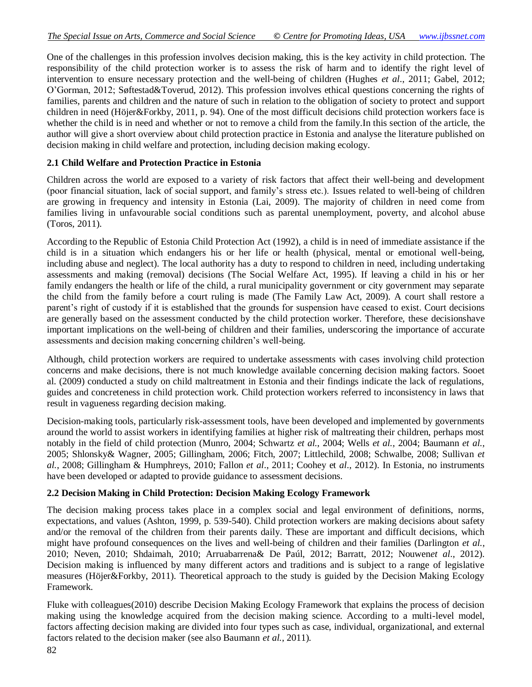One of the challenges in this profession involves decision making, this is the key activity in child protection. The responsibility of the child protection worker is to assess the risk of harm and to identify the right level of intervention to ensure necessary protection and the well-being of children (Hughes *et al*., 2011; Gabel, 2012; O'Gorman, 2012; Søftestad&Toverud, 2012). This profession involves ethical questions concerning the rights of families, parents and children and the nature of such in relation to the obligation of society to protect and support children in need (Höjer&Forkby, 2011, p. 94). One of the most difficult decisions child protection workers face is whether the child is in need and whether or not to remove a child from the family.In this section of the article, the author will give a short overview about child protection practice in Estonia and analyse the literature published on decision making in child welfare and protection, including decision making ecology.

### **2.1 Child Welfare and Protection Practice in Estonia**

Children across the world are exposed to a variety of risk factors that affect their well-being and development (poor financial situation, lack of social support, and family's stress etc.). Issues related to well-being of children are growing in frequency and intensity in Estonia (Lai, 2009). The majority of children in need come from families living in unfavourable social conditions such as parental unemployment, poverty, and alcohol abuse (Toros, 2011).

According to the Republic of Estonia Child Protection Act (1992), a child is in need of immediate assistance if the child is in a situation which endangers his or her life or health (physical, mental or emotional well-being, including abuse and neglect). The local authority has a duty to respond to children in need, including undertaking assessments and making (removal) decisions (The Social Welfare Act, 1995). If leaving a child in his or her family endangers the health or life of the child, a rural municipality government or city government may separate the child from the family before a court ruling is made (The Family Law Act, 2009). A court shall restore a parent's right of custody if it is established that the grounds for suspension have ceased to exist. Court decisions are generally based on the assessment conducted by the child protection worker. Therefore, these decisionshave important implications on the well-being of children and their families, underscoring the importance of accurate assessments and decision making concerning children's well-being.

Although, child protection workers are required to undertake assessments with cases involving child protection concerns and make decisions, there is not much knowledge available concerning decision making factors. Sooet al. (2009) conducted a study on child maltreatment in Estonia and their findings indicate the lack of regulations, guides and concreteness in child protection work. Child protection workers referred to inconsistency in laws that result in vagueness regarding decision making.

Decision-making tools, particularly risk-assessment tools, have been developed and implemented by governments around the world to assist workers in identifying families at higher risk of maltreating their children, perhaps most notably in the field of child protection (Munro, 2004; Schwartz *et al.*, 2004; Wells *et al.*, 2004; Baumann *et al.*, 2005; Shlonsky& Wagner, 2005; Gillingham, 2006; Fitch, 2007; Littlechild, 2008; Schwalbe, 2008; Sullivan *et al.*, 2008; Gillingham & Humphreys, 2010; Fallon *et al*., 2011; Coohey et *al*., 2012). In Estonia, no instruments have been developed or adapted to provide guidance to assessment decisions.

#### **2.2 Decision Making in Child Protection: Decision Making Ecology Framework**

The decision making process takes place in a complex social and legal environment of definitions, norms, expectations, and values (Ashton, 1999, p. 539-540). Child protection workers are making decisions about safety and/or the removal of the children from their parents daily. These are important and difficult decisions, which might have profound consequences on the lives and well-being of children and their families (Darlington *et al.*, 2010; Neven, 2010; Shdaimah, 2010; Arruabarrena& De Paúl, 2012; Barratt, 2012; Nouwen*et al*., 2012). Decision making is influenced by many different actors and traditions and is subject to a range of legislative measures (Höjer&Forkby, 2011). Theoretical approach to the study is guided by the Decision Making Ecology Framework.

Fluke with colleagues(2010) describe Decision Making Ecology Framework that explains the process of decision making using the knowledge acquired from the decision making science. According to a multi-level model, factors affecting decision making are divided into four types such as case, individual, organizational, and external factors related to the decision maker (see also Baumann *et al.*, 2011).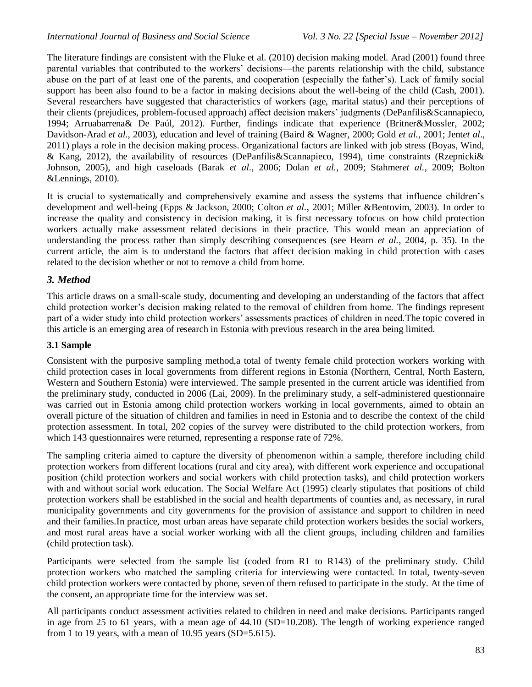The literature findings are consistent with the Fluke et al. (2010) decision making model. Arad (2001) found three parental variables that contributed to the workers' decisions—the parents relationship with the child, substance abuse on the part of at least one of the parents, and cooperation (especially the father's). Lack of family social support has been also found to be a factor in making decisions about the well-being of the child (Cash, 2001). Several researchers have suggested that characteristics of workers (age, marital status) and their perceptions of their clients (prejudices, problem-focused approach) affect decision makers' judgments (DePanfilis&Scannapieco, 1994; Arruabarrena& De Paúl, 2012). Further, findings indicate that experience (Britner&Mossler, 2002; Davidson-Arad *et al.*, 2003), education and level of training (Baird & Wagner, 2000; Gold *et al.*, 2001; Jent*et al*., 2011) plays a role in the decision making process. Organizational factors are linked with job stress (Boyas, Wind, & Kang, 2012), the availability of resources (DePanfilis&Scannapieco, 1994), time constraints (Rzepnicki& Johnson, 2005), and high caseloads (Barak *et al.*, 2006; Dolan *et al.*, 2009; Stahmer*et al.*, 2009; Bolton &Lennings, 2010).

It is crucial to systematically and comprehensively examine and assess the systems that influence children's development and well-being (Epps & Jackson, 2000; Colton *et al.*, 2001; Miller &Bentovim, 2003). In order to increase the quality and consistency in decision making, it is first necessary tofocus on how child protection workers actually make assessment related decisions in their practice. This would mean an appreciation of understanding the process rather than simply describing consequences (see Hearn *et al.*, 2004, p. 35). In the current article, the aim is to understand the factors that affect decision making in child protection with cases related to the decision whether or not to remove a child from home.

### *3. Method*

This article draws on a small-scale study, documenting and developing an understanding of the factors that affect child protection worker's decision making related to the removal of children from home. The findings represent part of a wider study into child protection workers' assessments practices of children in need.The topic covered in this article is an emerging area of research in Estonia with previous research in the area being limited.

#### **3.1 Sample**

Consistent with the purposive sampling method,a total of twenty female child protection workers working with child protection cases in local governments from different regions in Estonia (Northern, Central, North Eastern, Western and Southern Estonia) were interviewed. The sample presented in the current article was identified from the preliminary study, conducted in 2006 (Lai, 2009). In the preliminary study, a self-administered questionnaire was carried out in Estonia among child protection workers working in local governments, aimed to obtain an overall picture of the situation of children and families in need in Estonia and to describe the context of the child protection assessment. In total, 202 copies of the survey were distributed to the child protection workers, from which 143 questionnaires were returned, representing a response rate of 72%.

The sampling criteria aimed to capture the diversity of phenomenon within a sample, therefore including child protection workers from different locations (rural and city area), with different work experience and occupational position (child protection workers and social workers with child protection tasks), and child protection workers with and without social work education. The Social Welfare Act (1995) clearly stipulates that positions of child protection workers shall be established in the social and health departments of counties and, as necessary, in rural municipality governments and city governments for the provision of assistance and support to children in need and their families.In practice, most urban areas have separate child protection workers besides the social workers, and most rural areas have a social worker working with all the client groups, including children and families (child protection task).

Participants were selected from the sample list (coded from R1 to R143) of the preliminary study. Child protection workers who matched the sampling criteria for interviewing were contacted. In total, twenty-seven child protection workers were contacted by phone, seven of them refused to participate in the study. At the time of the consent, an appropriate time for the interview was set.

All participants conduct assessment activities related to children in need and make decisions. Participants ranged in age from 25 to 61 years, with a mean age of 44.10 (SD=10.208). The length of working experience ranged from 1 to 19 years, with a mean of 10.95 years (SD=5.615).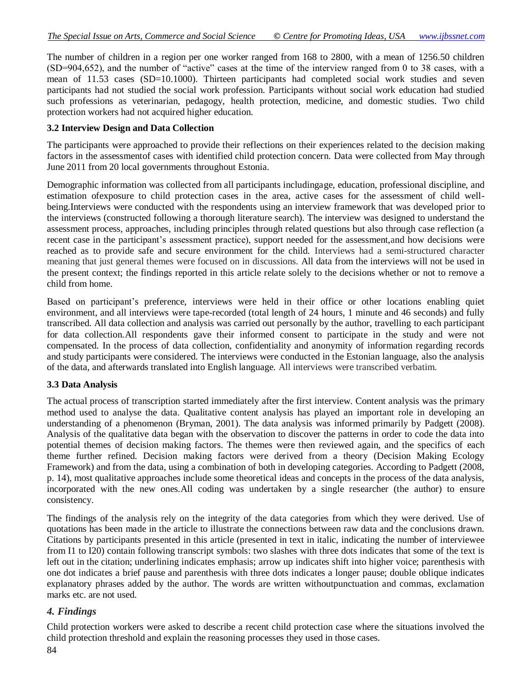The number of children in a region per one worker ranged from 168 to 2800, with a mean of 1256.50 children  $(SD=904,652)$ , and the number of "active" cases at the time of the interview ranged from 0 to 38 cases, with a mean of 11.53 cases (SD=10.1000). Thirteen participants had completed social work studies and seven participants had not studied the social work profession. Participants without social work education had studied such professions as veterinarian, pedagogy, health protection, medicine, and domestic studies. Two child protection workers had not acquired higher education.

#### **3.2 Interview Design and Data Collection**

The participants were approached to provide their reflections on their experiences related to the decision making factors in the assessmentof cases with identified child protection concern. Data were collected from May through June 2011 from 20 local governments throughout Estonia.

Demographic information was collected from all participants includingage, education, professional discipline, and estimation ofexposure to child protection cases in the area, active cases for the assessment of child wellbeing.Interviews were conducted with the respondents using an interview framework that was developed prior to the interviews (constructed following a thorough literature search). The interview was designed to understand the assessment process, approaches, including principles through related questions but also through case reflection (a recent case in the participant's assessment practice), support needed for the assessment,and how decisions were reached as to provide safe and secure environment for the child. Interviews had a semi-structured character meaning that just general themes were focused on in discussions. All data from the interviews will not be used in the present context; the findings reported in this article relate solely to the decisions whether or not to remove a child from home.

Based on participant's preference, interviews were held in their office or other locations enabling quiet environment, and all interviews were tape-recorded (total length of 24 hours, 1 minute and 46 seconds) and fully transcribed. All data collection and analysis was carried out personally by the author, travelling to each participant for data collection.All respondents gave their informed consent to participate in the study and were not compensated. In the process of data collection, confidentiality and anonymity of information regarding records and study participants were considered. The interviews were conducted in the Estonian language, also the analysis of the data, and afterwards translated into English language. All interviews were transcribed verbatim.

#### **3.3 Data Analysis**

The actual process of transcription started immediately after the first interview. Content analysis was the primary method used to analyse the data. Qualitative content analysis has played an important role in developing an understanding of a phenomenon (Bryman, 2001). The data analysis was informed primarily by Padgett (2008). Analysis of the qualitative data began with the observation to discover the patterns in order to code the data into potential themes of decision making factors. The themes were then reviewed again, and the specifics of each theme further refined. Decision making factors were derived from a theory (Decision Making Ecology Framework) and from the data, using a combination of both in developing categories. According to Padgett (2008, p. 14), most qualitative approaches include some theoretical ideas and concepts in the process of the data analysis, incorporated with the new ones.All coding was undertaken by a single researcher (the author) to ensure consistency.

The findings of the analysis rely on the integrity of the data categories from which they were derived. Use of quotations has been made in the article to illustrate the connections between raw data and the conclusions drawn. Citations by participants presented in this article (presented in text in italic, indicating the number of interviewee from I1 to I20) contain following transcript symbols: two slashes with three dots indicates that some of the text is left out in the citation; underlining indicates emphasis; arrow up indicates shift into higher voice; parenthesis with one dot indicates a brief pause and parenthesis with three dots indicates a longer pause; double oblique indicates explanatory phrases added by the author. The words are written withoutpunctuation and commas, exclamation marks etc. are not used.

#### *4. Findings*

Child protection workers were asked to describe a recent child protection case where the situations involved the child protection threshold and explain the reasoning processes they used in those cases.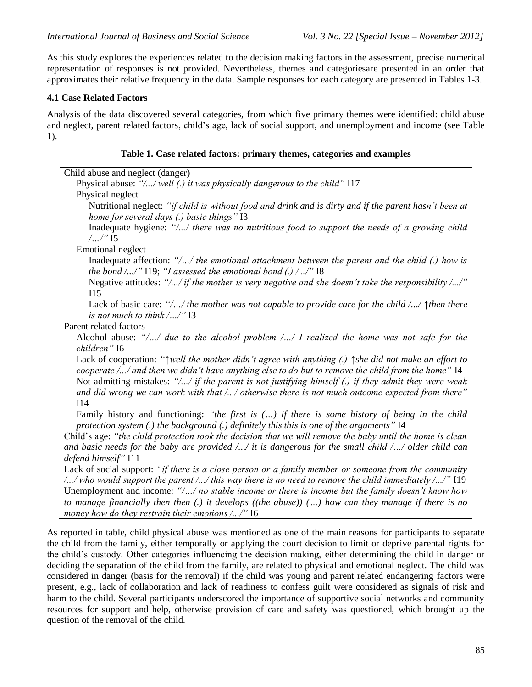As this study explores the experiences related to the decision making factors in the assessment, precise numerical representation of responses is not provided. Nevertheless, themes and categoriesare presented in an order that approximates their relative frequency in the data. Sample responses for each category are presented in Tables 1-3.

### **4.1 Case Related Factors**

question of the removal of the child.

Analysis of the data discovered several categories, from which five primary themes were identified: child abuse and neglect, parent related factors, child's age, lack of social support, and unemployment and income (see Table 1).

#### **Table 1. Case related factors: primary themes, categories and examples**

| Child abuse and neglect (danger)                                                                                                                                                                                                                                                                                                                                                                                                                                                                                                                                                                                                                                                                                                                                                                                                             |
|----------------------------------------------------------------------------------------------------------------------------------------------------------------------------------------------------------------------------------------------------------------------------------------------------------------------------------------------------------------------------------------------------------------------------------------------------------------------------------------------------------------------------------------------------------------------------------------------------------------------------------------------------------------------------------------------------------------------------------------------------------------------------------------------------------------------------------------------|
| Physical abuse: "// well (.) it was physically dangerous to the child" I17                                                                                                                                                                                                                                                                                                                                                                                                                                                                                                                                                                                                                                                                                                                                                                   |
| Physical neglect                                                                                                                                                                                                                                                                                                                                                                                                                                                                                                                                                                                                                                                                                                                                                                                                                             |
| Nutritional neglect: "if child is without food and drink and is dirty and if the parent hasn't been at<br>home for several days (.) basic things" I3                                                                                                                                                                                                                                                                                                                                                                                                                                                                                                                                                                                                                                                                                         |
| Inadequate hygiene: "// there was no nutritious food to support the needs of a growing child<br>$/$ /" I5                                                                                                                                                                                                                                                                                                                                                                                                                                                                                                                                                                                                                                                                                                                                    |
| <b>Emotional neglect</b>                                                                                                                                                                                                                                                                                                                                                                                                                                                                                                                                                                                                                                                                                                                                                                                                                     |
| Inadequate affection: "// the emotional attachment between the parent and the child (.) how is<br>the bond $\ldots$ ," 119; "I assessed the emotional bond (.) $\ldots$ ," 18                                                                                                                                                                                                                                                                                                                                                                                                                                                                                                                                                                                                                                                                |
| Negative attitudes: "// if the mother is very negative and she doesn't take the responsibility //"<br>I15                                                                                                                                                                                                                                                                                                                                                                                                                                                                                                                                                                                                                                                                                                                                    |
| Lack of basic care: "// the mother was not capable to provide care for the child // \then there<br>is not much to think $/$ $/$ " I3                                                                                                                                                                                                                                                                                                                                                                                                                                                                                                                                                                                                                                                                                                         |
| Parent related factors                                                                                                                                                                                                                                                                                                                                                                                                                                                                                                                                                                                                                                                                                                                                                                                                                       |
| Alcohol abuse: " $\ldots$ due to the alcohol problem $\ldots$ I realized the home was not safe for the                                                                                                                                                                                                                                                                                                                                                                                                                                                                                                                                                                                                                                                                                                                                       |
| children" I6                                                                                                                                                                                                                                                                                                                                                                                                                                                                                                                                                                                                                                                                                                                                                                                                                                 |
| Lack of cooperation: " $\uparrow$ well the mother didn't agree with anything (.) $\uparrow$ she did not make an effort to<br>cooperate // and then we didn't have anything else to do but to remove the child from the home" I4<br>Not admitting mistakes: "// if the parent is not justifying himself (.) if they admit they were weak<br>"and did wrong we can work with that // otherwise there is not much outcome expected from there                                                                                                                                                                                                                                                                                                                                                                                                   |
| I14<br>Family history and functioning: "the first is () if there is some history of being in the child<br>protection system (.) the background (.) definitely this this is one of the arguments" I4                                                                                                                                                                                                                                                                                                                                                                                                                                                                                                                                                                                                                                          |
| Child's age: "the child protection took the decision that we will remove the baby until the home is clean<br>and basic needs for the baby are provided $\ldots$ it is dangerous for the small child $\ldots$ older child can                                                                                                                                                                                                                                                                                                                                                                                                                                                                                                                                                                                                                 |
| defend himself" I11<br>Lack of social support: "if there is a close person or a family member or someone from the community<br>who would support the parent // this way there is no need to remove the child immediately //" I19<br>Unemployment and income: "// no stable income or there is income but the family doesn't know how<br>to manage financially then then $(.)$ it develops ((the abuse)) $()$ how can they manage if there is no<br>money how do they restrain their emotions $\ldots$ " I6                                                                                                                                                                                                                                                                                                                                   |
| As reported in table, child physical abuse was mentioned as one of the main reasons for participants to separate<br>the child from the family, either temporally or applying the court decision to limit or deprive parental rights for<br>the child's custody. Other categories influencing the decision making, either determining the child in danger or<br>deciding the separation of the child from the family, are related to physical and emotional neglect. The child was<br>considered in danger (basis for the removal) if the child was young and parent related endangering factors were<br>present, e.g., lack of collaboration and lack of readiness to confess guilt were considered as signals of risk and<br>harm to the child. Several participants underscored the importance of supportive social networks and community |

resources for support and help, otherwise provision of care and safety was questioned, which brought up the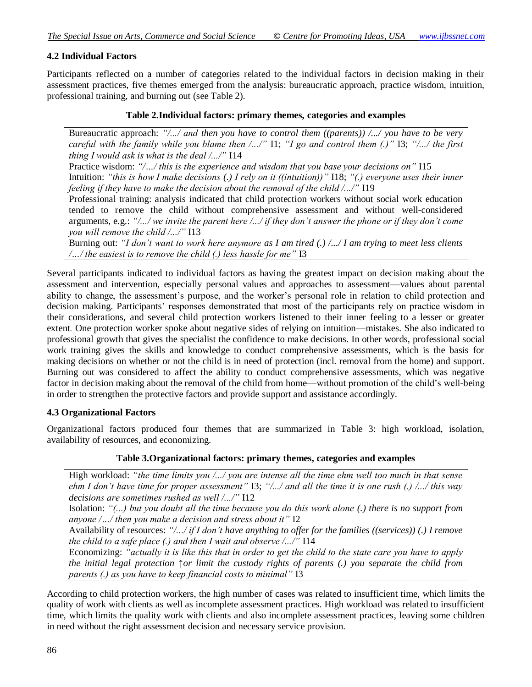#### **4.2 Individual Factors**

Participants reflected on a number of categories related to the individual factors in decision making in their assessment practices, five themes emerged from the analysis: bureaucratic approach, practice wisdom, intuition, professional training, and burning out (see Table 2).

#### **Table 2.Individual factors: primary themes, categories and examples**

Bureaucratic approach: *"/.../ and then you have to control them ((parents)) /.../ you have to be very careful with the family while you blame then*  $\ldots$ *<sup>"</sup> I1; "I go and control them (.)*" I3; " $\ldots$  the first *thing I would ask is what is the deal /.../"* I14

Practice wisdom: "/.../ this is the experience and wisdom that you base your decisions on" I15 Intuition: *"this is how I make decisions (.) I rely on it ((intuition))* "I18; "(.) everyone uses their inner *feeling if they have to make the decision about the removal of the child /.../‖* I19

Professional training: analysis indicated that child protection workers without social work education tended to remove the child without comprehensive assessment and without well-considered arguments, e.g.: "/.../ we invite the parent here /.../ if they don't answer the phone or if they don't come *you will remove the child /.../"* I13

Burning out: *"I don't want to work here anymore as I am tired (.) /.../ I am trying to meet less clients /.../ the easiest is to remove the child (.) less hassle for me"* I3

Several participants indicated to individual factors as having the greatest impact on decision making about the assessment and intervention, especially personal values and approaches to assessment—values about parental ability to change, the assessment's purpose, and the worker's personal role in relation to child protection and decision making. Participants' responses demonstrated that most of the participants rely on practice wisdom in their considerations, and several child protection workers listened to their inner feeling to a lesser or greater extent*.* One protection worker spoke about negative sides of relying on intuition—mistakes. She also indicated to professional growth that gives the specialist the confidence to make decisions. In other words, professional social work training gives the skills and knowledge to conduct comprehensive assessments, which is the basis for making decisions on whether or not the child is in need of protection (incl. removal from the home) and support. Burning out was considered to affect the ability to conduct comprehensive assessments, which was negative factor in decision making about the removal of the child from home—without promotion of the child's well-being in order to strengthen the protective factors and provide support and assistance accordingly.

#### **4.3 Organizational Factors**

Organizational factors produced four themes that are summarized in Table 3: high workload, isolation, availability of resources, and economizing.

#### **Table 3.Organizational factors: primary themes, categories and examples**

High workload: "the time limits you /.../ you are intense all the time ehm well too much in that sense *ehm I don't have time for proper assessment*" I3; "/.../ and all the time it is one rush (.) /.../ this way *decisions are sometimes rushed as well /.../‖* I12

Isolation: "(...) but you doubt all the time because you do this work alone (.) there is no support from *anyone /.../ then you make a decision and stress about it*" **I2** 

Availability of resources: *"/.../ if I don't have anything to offer for the families ((services)) (.) I remove the child to a safe place (.) and then I wait and observe /.../"* I14

Economizing: "actually it is like this that in order to get the child to the state care you have to apply *the initial legal protection ↑or limit the custody rights of parents (.) you separate the child from parents (.) as you have to keep financial costs to minimal*" I3

According to child protection workers, the high number of cases was related to insufficient time, which limits the quality of work with clients as well as incomplete assessment practices. High workload was related to insufficient time, which limits the quality work with clients and also incomplete assessment practices, leaving some children in need without the right assessment decision and necessary service provision.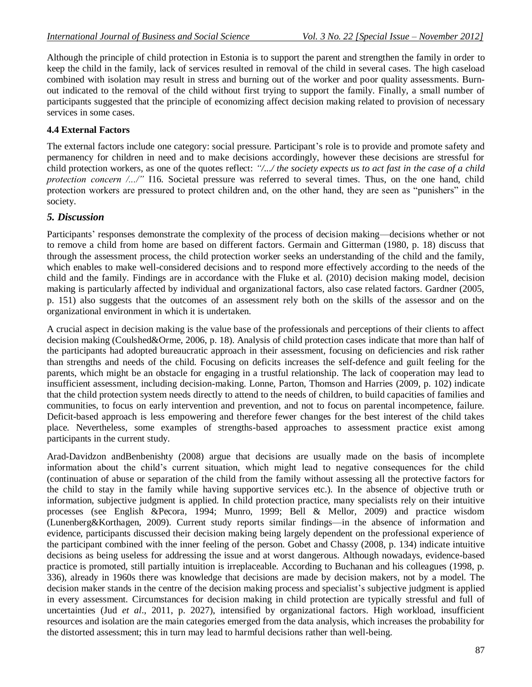Although the principle of child protection in Estonia is to support the parent and strengthen the family in order to keep the child in the family, lack of services resulted in removal of the child in several cases. The high caseload combined with isolation may result in stress and burning out of the worker and poor quality assessments. Burnout indicated to the removal of the child without first trying to support the family. Finally, a small number of participants suggested that the principle of economizing affect decision making related to provision of necessary services in some cases.

# **4.4 External Factors**

The external factors include one category: social pressure. Participant's role is to provide and promote safety and permanency for children in need and to make decisions accordingly, however these decisions are stressful for child protection workers, as one of the quotes reflect: "/.../ the society expects us to act fast in the case of a child *protection concern /.../*" I16. Societal pressure was referred to several times. Thus, on the one hand, child protection workers are pressured to protect children and, on the other hand, they are seen as "punishers" in the society.

# *5. Discussion*

Participants' responses demonstrate the complexity of the process of decision making—decisions whether or not to remove a child from home are based on different factors. Germain and Gitterman (1980, p. 18) discuss that through the assessment process, the child protection worker seeks an understanding of the child and the family, which enables to make well-considered decisions and to respond more effectively according to the needs of the child and the family. Findings are in accordance with the Fluke et al. (2010) decision making model, decision making is particularly affected by individual and organizational factors, also case related factors. Gardner (2005, p. 151) also suggests that the outcomes of an assessment rely both on the skills of the assessor and on the organizational environment in which it is undertaken.

A crucial aspect in decision making is the value base of the professionals and perceptions of their clients to affect decision making (Coulshed&Orme, 2006, p. 18). Analysis of child protection cases indicate that more than half of the participants had adopted bureaucratic approach in their assessment, focusing on deficiencies and risk rather than strengths and needs of the child. Focusing on deficits increases the self-defence and guilt feeling for the parents, which might be an obstacle for engaging in a trustful relationship. The lack of cooperation may lead to insufficient assessment, including decision-making. Lonne, Parton, Thomson and Harries (2009, p. 102) indicate that the child protection system needs directly to attend to the needs of children, to build capacities of families and communities, to focus on early intervention and prevention, and not to focus on parental incompetence, failure. Deficit-based approach is less empowering and therefore fewer changes for the best interest of the child takes place. Nevertheless, some examples of strengths-based approaches to assessment practice exist among participants in the current study.

Arad-Davidzon andBenbenishty (2008) argue that decisions are usually made on the basis of incomplete information about the child's current situation, which might lead to negative consequences for the child (continuation of abuse or separation of the child from the family without assessing all the protective factors for the child to stay in the family while having supportive services etc.). In the absence of objective truth or information, subjective judgment is applied. In child protection practice, many specialists rely on their intuitive processes (see English &Pecora, 1994; Munro, 1999; Bell & Mellor, 2009) and practice wisdom (Lunenberg&Korthagen, 2009). Current study reports similar findings—in the absence of information and evidence, participants discussed their decision making being largely dependent on the professional experience of the participant combined with the inner feeling of the person. Gobet and Chassy (2008, p. 134) indicate intuitive decisions as being useless for addressing the issue and at worst dangerous. Although nowadays, evidence-based practice is promoted, still partially intuition is irreplaceable. According to Buchanan and his colleagues (1998, p. 336), already in 1960s there was knowledge that decisions are made by decision makers, not by a model. The decision maker stands in the centre of the decision making process and specialist's subjective judgment is applied in every assessment. Circumstances for decision making in child protection are typically stressful and full of uncertainties (Jud *et al*., 2011, p. 2027), intensified by organizational factors. High workload, insufficient resources and isolation are the main categories emerged from the data analysis, which increases the probability for the distorted assessment; this in turn may lead to harmful decisions rather than well-being.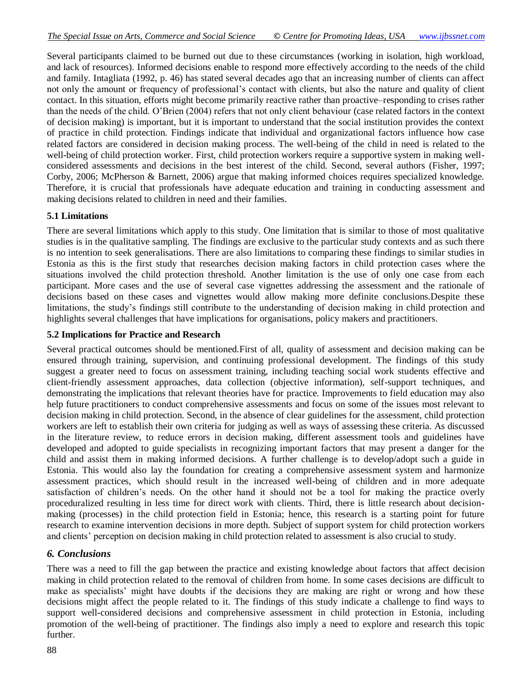Several participants claimed to be burned out due to these circumstances (working in isolation, high workload, and lack of resources). Informed decisions enable to respond more effectively according to the needs of the child and family. Intagliata (1992, p. 46) has stated several decades ago that an increasing number of clients can affect not only the amount or frequency of professional's contact with clients, but also the nature and quality of client contact. In this situation, efforts might become primarily reactive rather than proactive–responding to crises rather than the needs of the child. O'Brien (2004) refers that not only client behaviour (case related factors in the context of decision making) is important, but it is important to understand that the social institution provides the context of practice in child protection. Findings indicate that individual and organizational factors influence how case related factors are considered in decision making process. The well-being of the child in need is related to the well-being of child protection worker. First, child protection workers require a supportive system in making wellconsidered assessments and decisions in the best interest of the child. Second, several authors (Fisher, 1997; Corby, 2006; McPherson & Barnett, 2006) argue that making informed choices requires specialized knowledge. Therefore, it is crucial that professionals have adequate education and training in conducting assessment and making decisions related to children in need and their families.

# **5.1 Limitations**

There are several limitations which apply to this study. One limitation that is similar to those of most qualitative studies is in the qualitative sampling. The findings are exclusive to the particular study contexts and as such there is no intention to seek generalisations. There are also limitations to comparing these findings to similar studies in Estonia as this is the first study that researches decision making factors in child protection cases where the situations involved the child protection threshold. Another limitation is the use of only one case from each participant. More cases and the use of several case vignettes addressing the assessment and the rationale of decisions based on these cases and vignettes would allow making more definite conclusions.Despite these limitations, the study's findings still contribute to the understanding of decision making in child protection and highlights several challenges that have implications for organisations, policy makers and practitioners.

### **5.2 Implications for Practice and Research**

Several practical outcomes should be mentioned.First of all, quality of assessment and decision making can be ensured through training, supervision, and continuing professional development. The findings of this study suggest a greater need to focus on assessment training, including teaching social work students effective and client-friendly assessment approaches, data collection (objective information), self-support techniques, and demonstrating the implications that relevant theories have for practice. Improvements to field education may also help future practitioners to conduct comprehensive assessments and focus on some of the issues most relevant to decision making in child protection. Second, in the absence of clear guidelines for the assessment, child protection workers are left to establish their own criteria for judging as well as ways of assessing these criteria. As discussed in the literature review, to reduce errors in decision making, different assessment tools and guidelines have developed and adopted to guide specialists in recognizing important factors that may present a danger for the child and assist them in making informed decisions. A further challenge is to develop/adopt such a guide in Estonia. This would also lay the foundation for creating a comprehensive assessment system and harmonize assessment practices, which should result in the increased well-being of children and in more adequate satisfaction of children's needs. On the other hand it should not be a tool for making the practice overly proceduralized resulting in less time for direct work with clients. Third, there is little research about decisionmaking (processes) in the child protection field in Estonia; hence, this research is a starting point for future research to examine intervention decisions in more depth. Subject of support system for child protection workers and clients' perception on decision making in child protection related to assessment is also crucial to study.

# *6. Conclusions*

There was a need to fill the gap between the practice and existing knowledge about factors that affect decision making in child protection related to the removal of children from home. In some cases decisions are difficult to make as specialists' might have doubts if the decisions they are making are right or wrong and how these decisions might affect the people related to it. The findings of this study indicate a challenge to find ways to support well-considered decisions and comprehensive assessment in child protection in Estonia, including promotion of the well-being of practitioner. The findings also imply a need to explore and research this topic further.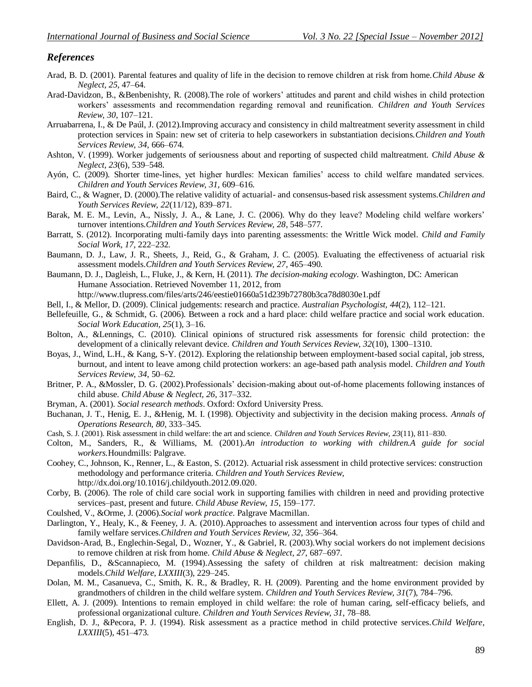#### *References*

- Arad, B. D. (2001). Parental features and quality of life in the decision to remove children at risk from home.*Child Abuse & Neglect, 25*, 47–64.
- Arad-Davidzon, B., &Benbenishty, R. (2008).The role of workers' attitudes and parent and child wishes in child protection workers' assessments and recommendation regarding removal and reunification. *Children and Youth Services Review, 30*, 107–121.
- Arruabarrena, I., & De Paúl, J. (2012).Improving accuracy and consistency in child maltreatment severity assessment in child protection services in Spain: new set of criteria to help caseworkers in substantiation decisions.*Children and Youth Services Review, 34*, 666–674.
- Ashton, V. (1999). Worker judgements of seriousness about and reporting of suspected child maltreatment. *Child Abuse & Neglect, 23*(6), 539–548.
- Ayón, C. (2009). Shorter time-lines, yet higher hurdles: Mexican families' access to child welfare mandated services. *Children and Youth Services Review, 31*, 609–616.
- Baird, C., & Wagner, D. (2000).The relative validity of actuarial- and consensus-based risk assessment systems.*Children and Youth Services Review, 22*(11/12), 839–871.
- Barak, M. E. M., Levin, A., Nissly, J. A., & Lane, J. C. (2006). Why do they leave? Modeling child welfare workers' turnover intentions.*Children and Youth Services Review, 28*, 548–577.
- Barratt, S. (2012). Incorporating multi-family days into parenting assessments: the Writtle Wick model. *Child and Family Social Work, 17*, 222–232.
- Baumann, D. J., Law, J. R., Sheets, J., Reid, G., & Graham, J. C. (2005). Evaluating the effectiveness of actuarial risk assessment models.*Children and Youth Services Review, 27*, 465–490.
- Baumann, D. J., Dagleish, L., Fluke, J., & Kern, H. (2011). *The decision-making ecology*. Washington, DC: American Humane Association. Retrieved November 11, 2012, from

<http://www.tlupress.com/files/arts/246/eestie01660a51d239b72780b3ca78d8030e1.pdf>

- Bell, I., & Mellor, D. (2009). Clinical judgements: research and practice. *Australian Psychologist, 44*(2), 112–121.
- Bellefeuille, G., & Schmidt, G. (2006). Between a rock and a hard place: child welfare practice and social work education. *Social Work Education, 25*(1), 3–16.
- Bolton, A., &Lennings, C. (2010). Clinical opinions of structured risk assessments for forensic child protection: the development of a clinically relevant device. *Children and Youth Services Review, 32*(10), 1300–1310.
- Boyas, J., Wind, L.H., & Kang, S-Y. (2012). Exploring the relationship between employment-based social capital, job stress, burnout, and intent to leave among child protection workers: an age-based path analysis model. *Children and Youth Services Review, 34*, 50–62.
- Britner, P. A., &Mossler, D. G. (2002).Professionals' decision-making about out-of-home placements following instances of child abuse. *Child Abuse & Neglect, 26*, 317–332.
- Bryman, A. (2001). *Social research methods*. Oxford: Oxford University Press.
- Buchanan, J. T., Henig, E. J., &Henig, M. I. (1998). Objectivity and subjectivity in the decision making process. *Annals of Operations Research, 80*, 333–345.
- Cash, S. J. (2001). Risk assessment in child welfare: the art and science. *Children and Youth Services Review, 23*(11), 811–830.
- Colton, M., Sanders, R., & Williams, M. (2001).*An introduction to working with children.A guide for social workers.*Houndmills: Palgrave.
- Coohey, C., Johnson, K., Renner, L., & Easton, S. (2012). Actuarial risk assessment in child protective services: construction methodology and performance criteria. *Children and Youth Services Review*, http://dx.doi.org/10.1016/j.childyouth.2012.09.020.
- Corby, B. (2006). The role of child care social work in supporting families with children in need and providing protective services–past, present and future. *Child Abuse Review, 15*, 159–177.
- Coulshed, V., &Orme, J. (2006).*Social work practice*. Palgrave Macmillan.
- Darlington, Y., Healy, K., & Feeney, J. A. (2010).Approaches to assessment and intervention across four types of child and family welfare services.*Children and Youth Services Review, 32*, 356–364.
- Davidson-Arad, B., Englechin-Segal, D., Wozner, Y., & Gabriel, R. (2003).Why social workers do not implement decisions to remove children at risk from home. *Child Abuse & Neglect, 27*, 687–697.
- Depanfilis, D., &Scannapieco, M. (1994).Assessing the safety of children at risk maltreatment: decision making models.*Child Welfare, LXXIII*(3), 229–245.
- Dolan, M. M., Casanueva, C., Smith, K. R., & Bradley, R. H. (2009). Parenting and the home environment provided by grandmothers of children in the child welfare system. *Children and Youth Services Review, 31*(7), 784–796.
- Ellett, A. J. (2009). Intentions to remain employed in child welfare: the role of human caring, self-efficacy beliefs, and professional organizational culture. *Children and Youth Services Review, 31*, 78–88.
- English, D. J., &Pecora, P. J. (1994). Risk assessment as a practice method in child protective services.*Child Welfare, LXXIII*(5), 451–473.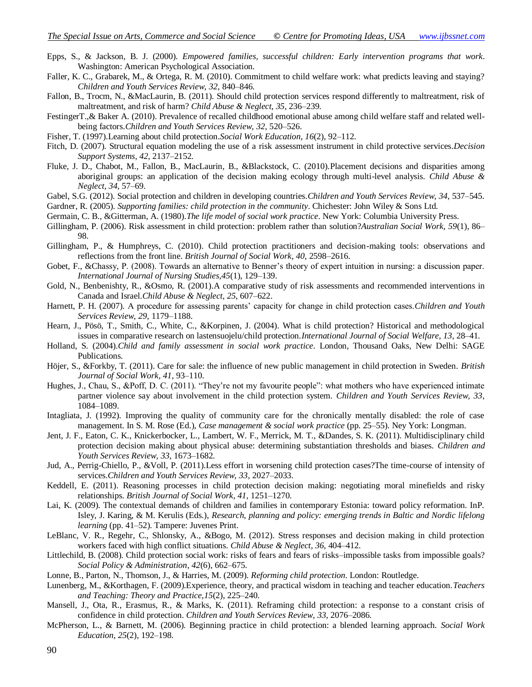- Epps, S., & Jackson, B. J. (2000). *Empowered families, successful children: Early intervention programs that work*. Washington: American Psychological Association.
- Faller, K. C., Grabarek, M., & Ortega, R. M. (2010). Commitment to child welfare work: what predicts leaving and staying? *Children and Youth Services Review, 32*, 840–846.
- Fallon, B., Trocm, N., &MacLaurin, B. (2011). Should child protection services respond differently to maltreatment, risk of maltreatment, and risk of harm? *Child Abuse & Neglect, 35*, 236–239.
- FestingerT.,& Baker A. (2010). Prevalence of recalled childhood emotional abuse among child welfare staff and related wellbeing factors.*Children and Youth Services Review, 32*, 520–526.
- Fisher, T. (1997).Learning about child protection.*Social Work Education*, *16*(2), 92–112.
- Fitch, D. (2007). Structural equation modeling the use of a risk assessment instrument in child protective services.*Decision Support Systems, 42*, 2137–2152.
- Fluke, J. D., Chabot, M., Fallon, B., MacLaurin, B., &Blackstock, C. (2010).Placement decisions and disparities among aboriginal groups: an application of the decision making ecology through multi-level analysis. *Child Abuse & Neglect, 34*, 57–69.
- Gabel, S.G. (2012). Social protection and children in developing countries.*Children and Youth Services Review, 34*, 537–545.
- Gardner, R. (2005). *Supporting families: child protection in the community*. Chichester: John Wiley & Sons Ltd.
- Germain, C. B., &Gitterman, A. (1980).*The life model of social work practice*. New York: Columbia University Press.
- Gillingham, P. (2006). Risk assessment in child protection: problem rather than solution?*Australian Social Work, 59*(1), 86– 98.
- Gillingham, P., & Humphreys, C. (2010). Child protection practitioners and decision-making tools: observations and reflections from the front line. *British Journal of Social Work, 40*, 2598–2616.
- Gobet, F., &Chassy, P. (2008). Towards an alternative to Benner's theory of expert intuition in nursing: a discussion paper. *International Journal of Nursing Studies,45*(1), 129–139.
- Gold, N., Benbenishty, R., &Osmo, R. (2001).A comparative study of risk assessments and recommended interventions in Canada and Israel.*Child Abuse & Neglect, 25*, 607–622.
- Harnett, P. H. (2007). A procedure for assessing parents' capacity for change in child protection cases.*Children and Youth Services Review, 29*, 1179–1188.
- Hearn, J., Pösö, T., Smith, C., White, C., &Korpinen, J. (2004). What is child protection? Historical and methodological issues in comparative research on lastensuojelu/child protection.*International Journal of Social Welfare, 13*, 28–41.
- Holland, S. (2004).*Child and family assessment in social work practice*. London, Thousand Oaks, New Delhi: SAGE Publications.
- Höjer, S., &Forkby, T. (2011). Care for sale: the influence of new public management in child protection in Sweden. *British Journal of Social Work, 41*, 93–110.
- Hughes, J., Chau, S., &Poff, D. C. (2011). "They're not my favourite people": what mothers who have experienced intimate partner violence say about involvement in the child protection system. *Children and Youth Services Review, 33*, 1084–1089.
- Intagliata, J. (1992). Improving the quality of community care for the chronically mentally disabled: the role of case management. In S. M. Rose (Ed.), *Case management & social work practice* (pp. 25–55). Ney York: Longman.
- Jent, J. F., Eaton, C. K., Knickerbocker, L., Lambert, W. F., Merrick, M. T., &Dandes, S. K. (2011). Multidisciplinary child protection decision making about physical abuse: determining substantiation thresholds and biases. *Children and Youth Services Review, 33*, 1673–1682.
- Jud, A., Perrig-Chiello, P., &Voll, P. (2011).Less effort in worsening child protection cases?The time-course of intensity of services.*Children and Youth Services Review, 33*, 2027–2033.
- Keddell, E. (2011). Reasoning processes in child protection decision making: negotiating moral minefields and risky relationships. *British Journal of Social Work, 41*, 1251–1270.
- [Lai, K. \(2009\). The contextual demands of children and families in contemporary Estonia: toward policy reformation. InP.](javascript:__doPostBack()  Isley, J. Karing, & M. Kerulis (Eds.), *[Research, planning and policy: emerging trends in Baltic and Nordic lifelong](javascript:__doPostBack()  learning* [\(pp. 41–52\). Tampere: Juvenes Print.](javascript:__doPostBack()
- LeBlanc, V. R., Regehr, C., Shlonsky, A., &Bogo, M. (2012). Stress responses and decision making in child protection workers faced with high conflict situations. *Child Abuse & Neglect, 36*, 404–412.
- Littlechild, B. (2008). Child protection social work: risks of fears and fears of risks–impossible tasks from impossible goals? *Social Policy & Administration*, *42*(6), 662–675.
- Lonne, B., Parton, N., Thomson, J., & Harries, M. (2009). *Reforming child protection*. London: Routledge.
- Lunenberg, M., &Korthagen, F. (2009).Experience, theory, and practical wisdom in teaching and teacher education.*Teachers and Teaching: Theory and Practice,15*(2), 225–240.
- Mansell, J., Ota, R., Erasmus, R., & Marks, K. (2011). Reframing child protection: a response to a constant crisis of confidence in child protection. *Children and Youth Services Review, 33*, 2076–2086.
- McPherson, L., & Barnett, M. (2006). Beginning practice in child protection: a blended learning approach. *Social Work Education, 25*(2), 192–198.